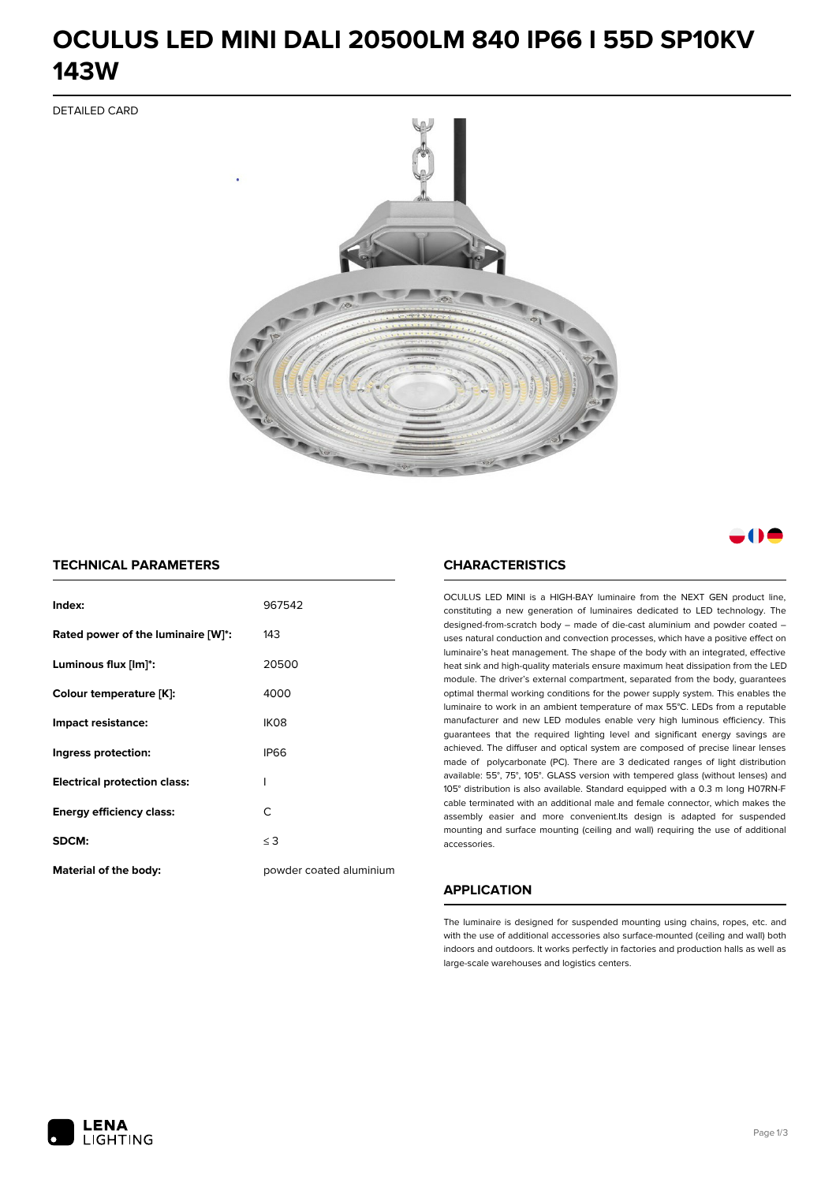# **OCULUS LED MINI DALI 20500LM 840 IP66 I 55D SP10KV 143W**

DETAILED CARD



## a M

### **TECHNICAL PARAMETERS**

| Index:                              | 967542                  |
|-------------------------------------|-------------------------|
| Rated power of the luminaire [W]*:  | 143                     |
| Luminous flux [lm]*:                | 20500                   |
| Colour temperature [K]:             | 4000                    |
| Impact resistance:                  | IK <sub>08</sub>        |
| Ingress protection:                 | <b>IP66</b>             |
| <b>Electrical protection class:</b> | ı                       |
| <b>Energy efficiency class:</b>     | C                       |
| SDCM:                               | $\leq$ 3                |
| Material of the body:               | powder coated aluminium |

#### **CHARACTERISTICS**

OCULUS LED MINI is a HIGH-BAY luminaire from the NEXT GEN product line, constituting a new generation of luminaires dedicated to LED technology. The designed-from-scratch body – made of die-cast aluminium and powder coated – uses natural conduction and convection processes, which have a positive effect on luminaire's heat management. The shape of the body with an integrated, effective heat sink and high-quality materials ensure maximum heat dissipation from the LED module. The driver's external compartment, separated from the body, guarantees optimal thermal working conditions for the power supply system. This enables the luminaire to work in an ambient temperature of max 55°C. LEDs from a reputable manufacturer and new LED modules enable very high luminous efficiency. This guarantees that the required lighting level and significant energy savings are achieved. The diffuser and optical system are composed of precise linear lenses made of polycarbonate (PC). There are 3 dedicated ranges of light distribution available: 55°, 75°, 105°. GLASS version with tempered glass (without lenses) and 105° distribution is also available. Standard equipped with a 0.3 m long H07RN-F cable terminated with an additional male and female connector, which makes the assembly easier and more convenient.Its design is adapted for suspended mounting and surface mounting (ceiling and wall) requiring the use of additional accessories.

### **APPLICATION**

The luminaire is designed for suspended mounting using chains, ropes, etc. and with the use of additional accessories also surface-mounted (ceiling and wall) both indoors and outdoors. It works perfectly in factories and production halls as well as large-scale warehouses and logistics centers.

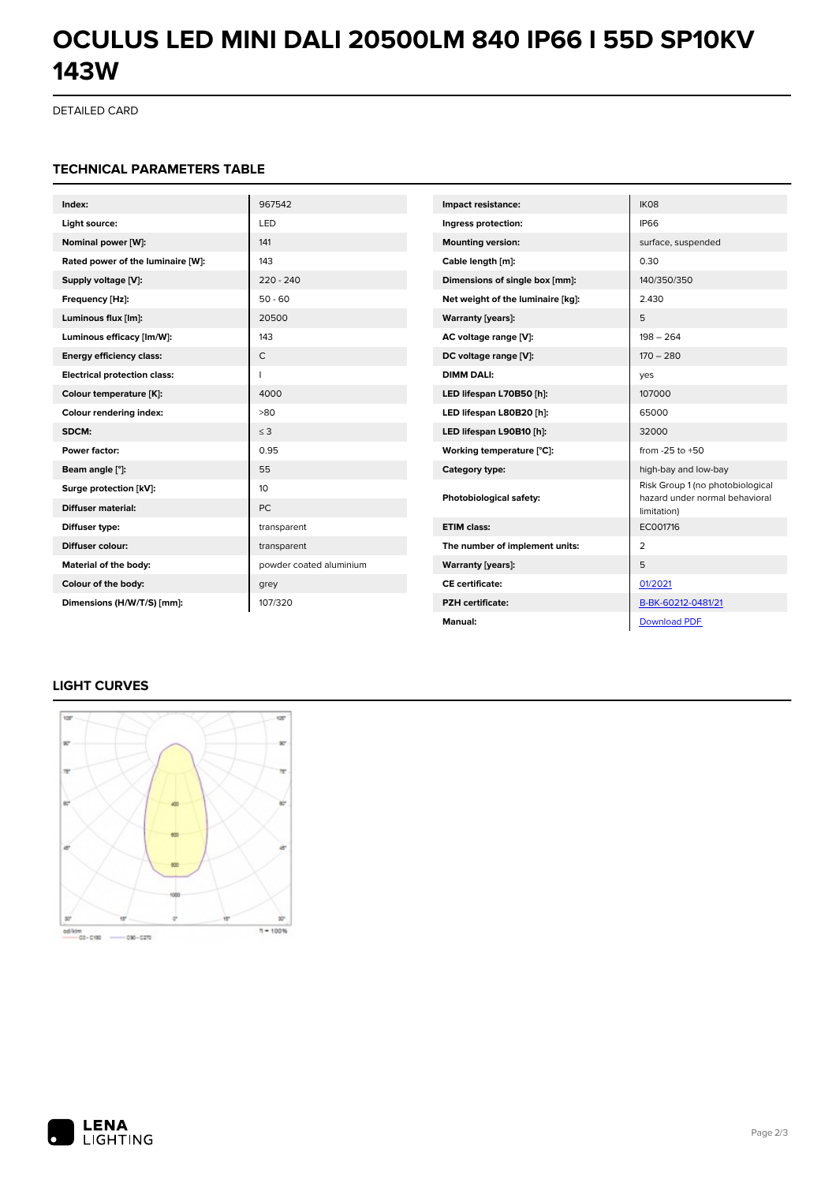# **OCULUS LED MINI DALI 20500LM 840 IP66 I 55D SP10KV 143W**

DETAILED CARD

#### **TECHNICAL PARAMETERS TABLE**

| Index:                              | 967542                  | Impact resistance:                | IK08                                                               |
|-------------------------------------|-------------------------|-----------------------------------|--------------------------------------------------------------------|
| Light source:                       | LED                     | Ingress protection:               | <b>IP66</b>                                                        |
| Nominal power [W]:                  | 141                     | <b>Mounting version:</b>          | surface, suspended                                                 |
| Rated power of the luminaire [W]:   | 143                     | Cable length [m]:                 | 0.30                                                               |
| Supply voltage [V]:                 | $220 - 240$             | Dimensions of single box [mm]:    | 140/350/350                                                        |
| Frequency [Hz]:                     | $50 - 60$               | Net weight of the luminaire [kg]: | 2.430                                                              |
| Luminous flux [lm]:                 | 20500                   | <b>Warranty [years]:</b>          | 5                                                                  |
| Luminous efficacy [lm/W]:           | 143                     | AC voltage range [V]:             | $198 - 264$                                                        |
| <b>Energy efficiency class:</b>     | $\mathsf{C}$            | DC voltage range [V]:             | $170 - 280$                                                        |
| <b>Electrical protection class:</b> |                         | <b>DIMM DALI:</b>                 | yes                                                                |
| Colour temperature [K]:             | 4000                    | LED lifespan L70B50 [h]:          | 107000                                                             |
| Colour rendering index:             | >80                     | LED lifespan L80B20 [h]:          | 65000                                                              |
| SDCM:                               | $\leq$ 3                | LED lifespan L90B10 [h]:          | 32000                                                              |
| Power factor:                       | 0.95                    | Working temperature [°C]:         | from $-25$ to $+50$                                                |
| Beam angle [°]:                     | 55                      | Category type:                    | high-bay and low-bay                                               |
| Surge protection [kV]:              | 10                      | Photobiological safety:           | Risk Group 1 (no photobiological<br>hazard under normal behavioral |
| <b>Diffuser material:</b>           | <b>PC</b>               |                                   | limitation)                                                        |
| Diffuser type:                      | transparent             | <b>ETIM class:</b>                | EC001716                                                           |
| Diffuser colour:                    | transparent             | The number of implement units:    | 2                                                                  |
| Material of the body:               | powder coated aluminium | <b>Warranty [years]:</b>          | 5                                                                  |
| Colour of the body:                 | grey                    | <b>CE</b> certificate:            | 01/2021                                                            |
| Dimensions (H/W/T/S) [mm]:          | 107/320                 | <b>PZH</b> certificate:           | B-BK-60212-0481/21                                                 |
|                                     |                         | Manual:                           | <b>Download PDF</b>                                                |

### **LIGHT CURVES**